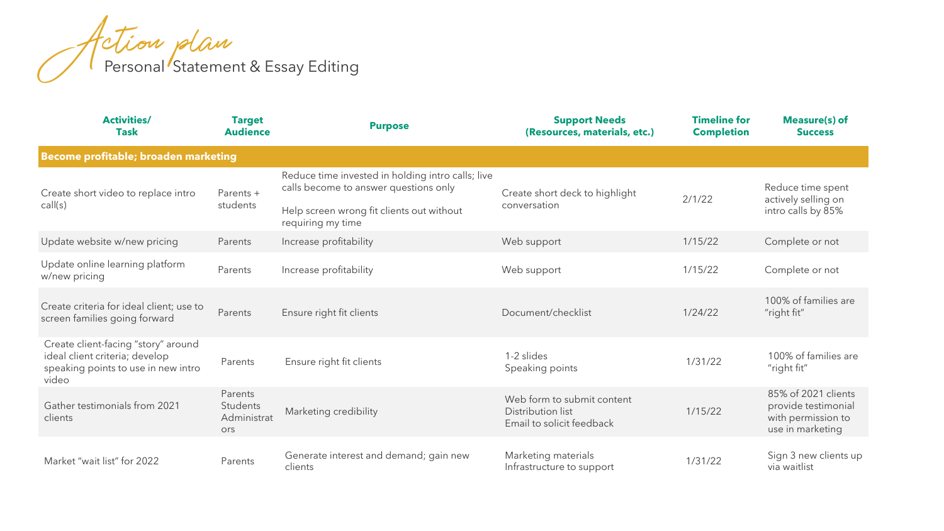| <b>Activities/</b><br><b>Task</b>                                                                                     | <b>Target</b><br><b>Audience</b>          | <b>Purpose</b>                                                                             | <b>Support Needs</b><br>(Resources, materials, etc.)                         | <b>Timeline for</b><br><b>Completion</b> | <b>Measure(s) of</b><br><b>Success</b>                                               |  |
|-----------------------------------------------------------------------------------------------------------------------|-------------------------------------------|--------------------------------------------------------------------------------------------|------------------------------------------------------------------------------|------------------------------------------|--------------------------------------------------------------------------------------|--|
| Become profitable; broaden marketing                                                                                  |                                           |                                                                                            |                                                                              |                                          |                                                                                      |  |
| Create short video to replace intro<br>call(s)                                                                        | Parents +<br>students                     | Reduce time invested in holding intro calls; live<br>calls become to answer questions only | Create short deck to highlight<br>conversation                               | 2/1/22                                   | Reduce time spent<br>actively selling on<br>intro calls by 85%                       |  |
|                                                                                                                       |                                           | Help screen wrong fit clients out without<br>requiring my time                             |                                                                              |                                          |                                                                                      |  |
| Update website w/new pricing                                                                                          | Parents                                   | Increase profitability                                                                     | Web support                                                                  | 1/15/22                                  | Complete or not                                                                      |  |
| Update online learning platform<br>w/new pricing                                                                      | Parents                                   | Increase profitability                                                                     | Web support                                                                  | 1/15/22                                  | Complete or not                                                                      |  |
| Create criteria for ideal client; use to<br>screen families going forward                                             | Parents                                   | Ensure right fit clients                                                                   | Document/checklist                                                           | 1/24/22                                  | 100% of families are<br>"right fit"                                                  |  |
| Create client-facing "story" around<br>ideal client criteria; develop<br>speaking points to use in new intro<br>video | Parents                                   | Ensure right fit clients                                                                   | 1-2 slides<br>Speaking points                                                | 1/31/22                                  | 100% of families are<br>"right fit"                                                  |  |
| Gather testimonials from 2021<br>clients                                                                              | Parents<br>Students<br>Administrat<br>ors | Marketing credibility                                                                      | Web form to submit content<br>Distribution list<br>Email to solicit feedback | 1/15/22                                  | 85% of 2021 clients<br>provide testimonial<br>with permission to<br>use in marketing |  |
| Market "wait list" for 2022                                                                                           | Parents                                   | Generate interest and demand; gain new<br>clients                                          | Marketing materials<br>Infrastructure to support                             | 1/31/22                                  | Sign 3 new clients up<br>via waitlist                                                |  |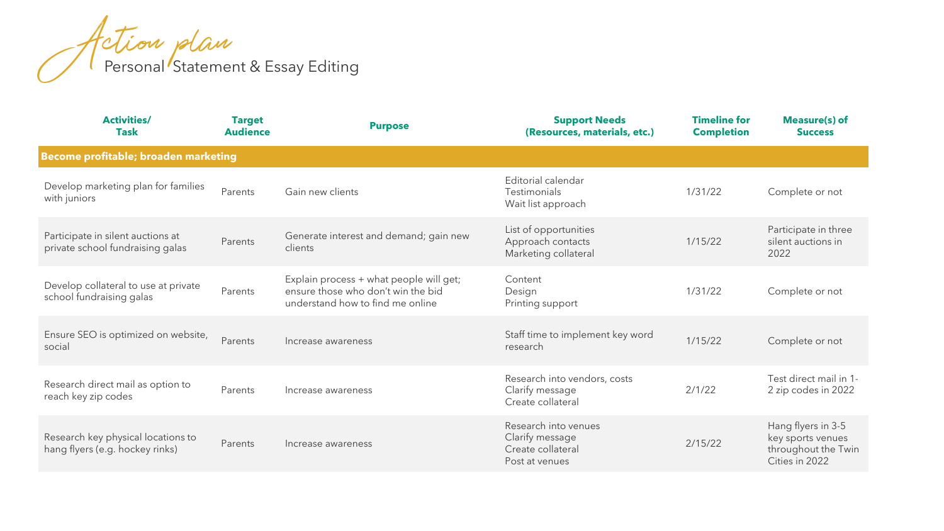| <b>Activities/</b><br><b>Task</b>                                     | <b>Target</b><br><b>Audience</b> | <b>Purpose</b>                                                                                                    | <b>Support Needs</b><br>(Resources, materials, etc.)                           | <b>Timeline for</b><br><b>Completion</b> | <b>Measure(s) of</b><br><b>Success</b>                                           |  |  |
|-----------------------------------------------------------------------|----------------------------------|-------------------------------------------------------------------------------------------------------------------|--------------------------------------------------------------------------------|------------------------------------------|----------------------------------------------------------------------------------|--|--|
| Become profitable; broaden marketing                                  |                                  |                                                                                                                   |                                                                                |                                          |                                                                                  |  |  |
| Develop marketing plan for families<br>with juniors                   | Parents                          | Gain new clients                                                                                                  | Editorial calendar<br><b>Testimonials</b><br>Wait list approach                | 1/31/22                                  | Complete or not                                                                  |  |  |
| Participate in silent auctions at<br>private school fundraising galas | Parents                          | Generate interest and demand; gain new<br>clients                                                                 | List of opportunities<br>Approach contacts<br>Marketing collateral             | 1/15/22                                  | Participate in three<br>silent auctions in<br>2022                               |  |  |
| Develop collateral to use at private<br>school fundraising galas      | Parents                          | Explain process + what people will get;<br>ensure those who don't win the bid<br>understand how to find me online | Content<br>Design<br>Printing support                                          | 1/31/22                                  | Complete or not                                                                  |  |  |
| Ensure SEO is optimized on website,<br>social                         | Parents                          | Increase awareness                                                                                                | Staff time to implement key word<br>research                                   | 1/15/22                                  | Complete or not                                                                  |  |  |
| Research direct mail as option to<br>reach key zip codes              | Parents                          | Increase awareness                                                                                                | Research into vendors, costs<br>Clarify message<br>Create collateral           | 2/1/22                                   | Test direct mail in 1-<br>2 zip codes in 2022                                    |  |  |
| Research key physical locations to<br>hang flyers (e.g. hockey rinks) | Parents                          | Increase awareness                                                                                                | Research into venues<br>Clarify message<br>Create collateral<br>Post at venues | 2/15/22                                  | Hang flyers in 3-5<br>key sports venues<br>throughout the Twin<br>Cities in 2022 |  |  |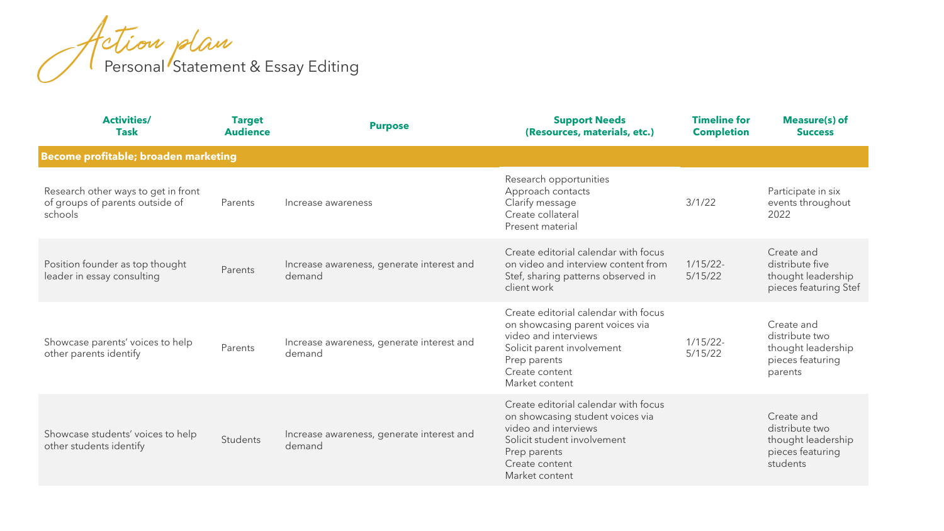| <b>Activities/</b><br><b>Task</b>                                                 | <b>Target</b><br><b>Audience</b> | <b>Purpose</b>                                      | <b>Support Needs</b><br>(Resources, materials, etc.)                                                                                                                                | <b>Timeline for</b><br><b>Completion</b> | Measure(s) of<br><b>Success</b>                                                    |  |  |
|-----------------------------------------------------------------------------------|----------------------------------|-----------------------------------------------------|-------------------------------------------------------------------------------------------------------------------------------------------------------------------------------------|------------------------------------------|------------------------------------------------------------------------------------|--|--|
| Become profitable; broaden marketing                                              |                                  |                                                     |                                                                                                                                                                                     |                                          |                                                                                    |  |  |
| Research other ways to get in front<br>of groups of parents outside of<br>schools | Parents                          | Increase awareness                                  | Research opportunities<br>Approach contacts<br>Clarify message<br>Create collateral<br>Present material                                                                             | 3/1/22                                   | Participate in six<br>events throughout<br>2022                                    |  |  |
| Position founder as top thought<br>leader in essay consulting                     | Parents                          | Increase awareness, generate interest and<br>demand | Create editorial calendar with focus<br>on video and interview content from<br>Stef, sharing patterns observed in<br>client work                                                    | $1/15/22$ -<br>5/15/22                   | Create and<br>distribute five<br>thought leadership<br>pieces featuring Stef       |  |  |
| Showcase parents' voices to help<br>other parents identify                        | Parents                          | Increase awareness, generate interest and<br>demand | Create editorial calendar with focus<br>on showcasing parent voices via<br>video and interviews<br>Solicit parent involvement<br>Prep parents<br>Create content<br>Market content   | $1/15/22$ -<br>5/15/22                   | Create and<br>distribute two<br>thought leadership<br>pieces featuring<br>parents  |  |  |
| Showcase students' voices to help<br>other students identify                      | Students                         | Increase awareness, generate interest and<br>demand | Create editorial calendar with focus<br>on showcasing student voices via<br>video and interviews<br>Solicit student involvement<br>Prep parents<br>Create content<br>Market content |                                          | Create and<br>distribute two<br>thought leadership<br>pieces featuring<br>students |  |  |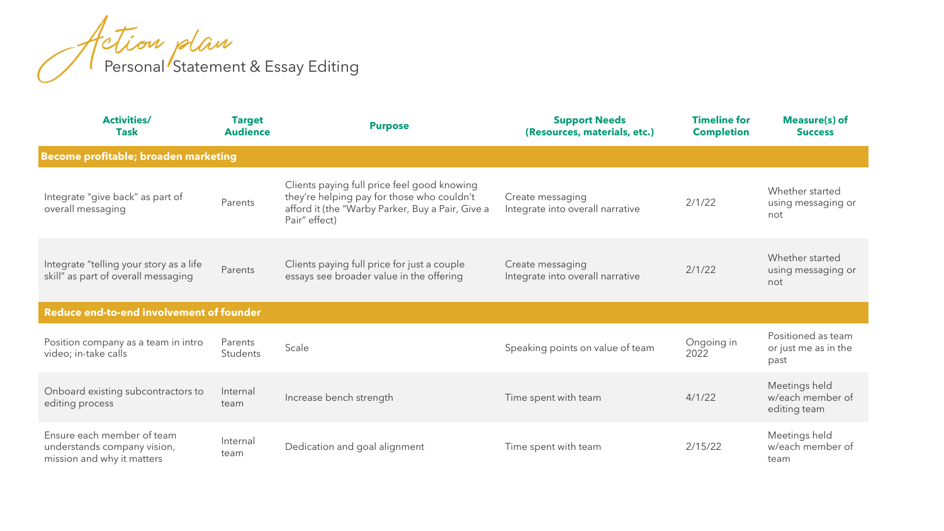| <b>Activities/</b><br><b>Task</b>                                                       | <b>Target</b><br><b>Audience</b> | <b>Purpose</b>                                                                                                                                                 | <b>Support Needs</b><br>(Resources, materials, etc.) | <b>Timeline for</b><br><b>Completion</b> | Measure(s) of<br><b>Success</b>                    |  |  |
|-----------------------------------------------------------------------------------------|----------------------------------|----------------------------------------------------------------------------------------------------------------------------------------------------------------|------------------------------------------------------|------------------------------------------|----------------------------------------------------|--|--|
| Become profitable; broaden marketing                                                    |                                  |                                                                                                                                                                |                                                      |                                          |                                                    |  |  |
| Integrate "give back" as part of<br>overall messaging                                   | Parents                          | Clients paying full price feel good knowing<br>they're helping pay for those who couldn't<br>afford it (the "Warby Parker, Buy a Pair, Give a<br>Pair" effect) | Create messaging<br>Integrate into overall narrative | 2/1/22                                   | Whether started<br>using messaging or<br>not       |  |  |
| Integrate "telling your story as a life<br>skill" as part of overall messaging          | Parents                          | Clients paying full price for just a couple<br>essays see broader value in the offering                                                                        | Create messaging<br>Integrate into overall narrative | 2/1/22                                   | Whether started<br>using messaging or<br>not       |  |  |
| <b>Reduce end-to-end involvement of founder</b>                                         |                                  |                                                                                                                                                                |                                                      |                                          |                                                    |  |  |
| Position company as a team in intro<br>video; in-take calls                             | Parents<br>Students              | Scale                                                                                                                                                          | Speaking points on value of team                     | Ongoing in<br>2022                       | Positioned as team<br>or just me as in the<br>past |  |  |
| Onboard existing subcontractors to<br>editing process                                   | Internal<br>team                 | Increase bench strength                                                                                                                                        | Time spent with team                                 | 4/1/22                                   | Meetings held<br>w/each member of<br>editing team  |  |  |
| Ensure each member of team<br>understands company vision,<br>mission and why it matters | Internal<br>team                 | Dedication and goal alignment                                                                                                                                  | Time spent with team                                 | 2/15/22                                  | Meetings held<br>w/each member of<br>team          |  |  |